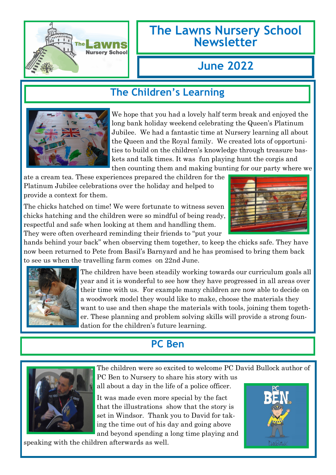

### **The Lawns Nursery School Newsletter**

# **June 2022**

### **The Children's Learning**



We hope that you had a lovely half term break and enjoyed the long bank holiday weekend celebrating the Queen's Platinum Jubilee. We had a fantastic time at Nursery learning all about the Queen and the Royal family. We created lots of opportunities to build on the children's knowledge through treasure baskets and talk times. It was fun playing hunt the corgis and then counting them and making bunting for our party where we

ate a cream tea. These experiences prepared the children for the Platinum Jubilee celebrations over the holiday and helped to provide a context for them.

The chicks hatched on time! We were fortunate to witness seven chicks hatching and the children were so mindful of being ready, respectful and safe when looking at them and handling them. They were often overheard reminding their friends to "put your



hands behind your back" when observing them together, to keep the chicks safe. They have now been returned to Pete from Basil's Barnyard and he has promised to bring them back to see us when the travelling farm comes on 22nd June.



The children have been steadily working towards our curriculum goals all year and it is wonderful to see how they have progressed in all areas over their time with us. For example many children are now able to decide on a woodwork model they would like to make, choose the materials they want to use and then shape the materials with tools, joining them together. These planning and problem solving skills will provide a strong foundation for the children's future learning.

## **PC Ben**



The children were so excited to welcome PC David Bullock author of PC Ben to Nursery to share his story with us all about a day in the life of a police officer.

It was made even more special by the fact that the illustrations show that the story is set in Windsor. Thank you to David for taking the time out of his day and going above and beyond spending a long time playing and

speaking with the children afterwards as well.

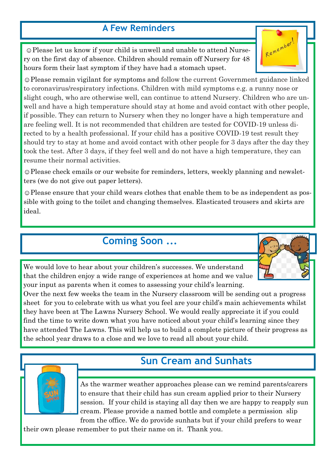#### **A Few Reminders**

☺Please let us know if your child is unwell and unable to attend Nursery on the first day of absence. Children should remain off Nursery for 48 hours form their last symptom if they have had a stomach upset.

☺Please remain vigilant for symptoms and follow the current Government guidance linked to coronavirus/respiratory infections. Children with mild symptoms e.g. a runny nose or slight cough, who are otherwise well, can continue to attend Nursery. Children who are unwell and have a high temperature should stay at home and avoid contact with other people, if possible. They can return to Nursery when they no longer have a high temperature and are feeling well. It is not recommended that children are tested for COVID-19 unless directed to by a health professional. If your child has a positive COVID-19 test result they should try to stay at home and avoid contact with other people for 3 days after the day they took the test. After 3 days, if they feel well and do not have a high temperature, they can resume their normal activities.

☺Please check emails or our website for reminders, letters, weekly planning and newsletters (we do not give out paper letters).

☺Please ensure that your child wears clothes that enable them to be as independent as possible with going to the toilet and changing themselves. Elasticated trousers and skirts are ideal.

#### **Coming Soon ...**

We would love to hear about your children's successes. We understand that the children enjoy a wide range of experiences at home and we value your input as parents when it comes to assessing your child's learning.

Over the next few weeks the team in the Nursery classroom will be sending out a progress sheet for you to celebrate with us what you feel are your child's main achievements whilst they have been at The Lawns Nursery School. We would really appreciate it if you could find the time to write down what you have noticed about your child's learning since they have attended The Lawns. This will help us to build a complete picture of their progress as the school year draws to a close and we love to read all about your child.

### **Sun Cream and Sunhats**

As the warmer weather approaches please can we remind parents/carers to ensure that their child has sun cream applied prior to their Nursery session. If your child is staying all day then we are happy to reapply sun cream. Please provide a named bottle and complete a permission slip

from the office. We do provide sunhats but if your child prefers to wear their own please remember to put their name on it. Thank you.





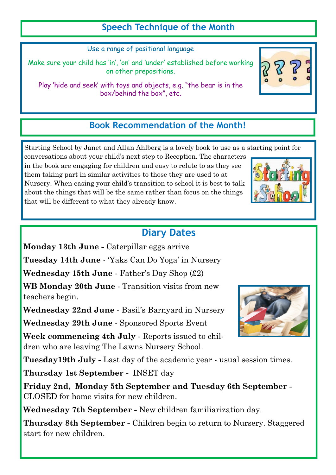#### **Speech Technique of the Month**

Use a range of positional language

Make sure your child has 'in', 'on' and 'under' established before working on other prepositions.

Play 'hide and seek' with toys and objects, e.g. "the bear is in the box/behind the box", etc.

#### **Book Recommendation of the Month!**

Starting School by Janet and Allan Ahlberg is a lovely book to use as a starting point for

conversations about your child's next step to Reception. The characters in the book are engaging for children and easy to relate to as they see them taking part in similar activities to those they are used to at Nursery. When easing your child's transition to school it is best to talk about the things that will be the same rather than focus on the things that will be different to what they already know.

### **Diary Dates**

**Monday 13th June -** Caterpillar eggs arrive **Tuesday 14th June** - 'Yaks Can Do Yoga' in Nursery **Wednesday 15th June** - Father's Day Shop (£2) **WB Monday 20th June** - Transition visits from new teachers begin. **Wednesday 22nd June** - Basil's Barnyard in Nursery **Wednesday 29th June** - Sponsored Sports Event **Week commencing 4th July** - Reports issued to children who are leaving The Lawns Nursery School. **Tuesday19th July -** Last day of the academic year - usual session times. **Thursday 1st September -** INSET day **Friday 2nd, Monday 5th September and Tuesday 6th September -** CLOSED for home visits for new children. **Wednesday 7th September -** New children familiarization day.

**Thursday 8th September -** Children begin to return to Nursery. Staggered start for new children.